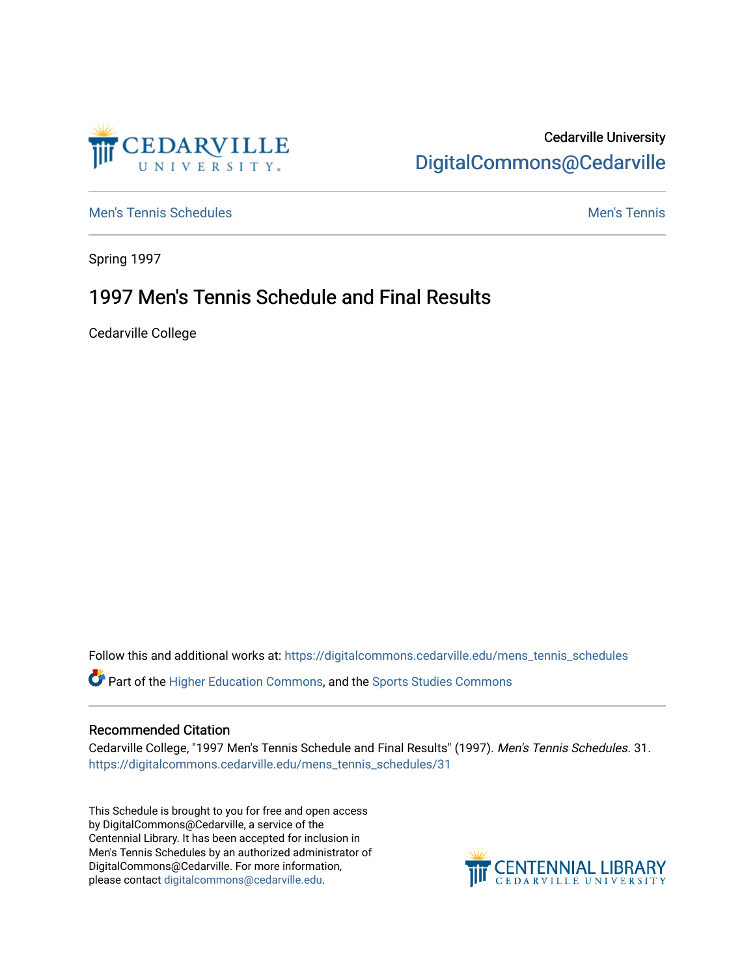

### Cedarville University [DigitalCommons@Cedarville](https://digitalcommons.cedarville.edu/)

[Men's Tennis Schedules](https://digitalcommons.cedarville.edu/mens_tennis_schedules) [Men's Tennis](https://digitalcommons.cedarville.edu/mens_tennis) Schedules Men's Tennis Schedules Men's Tennis

Spring 1997

## 1997 Men's Tennis Schedule and Final Results

Cedarville College

Follow this and additional works at: [https://digitalcommons.cedarville.edu/mens\\_tennis\\_schedules](https://digitalcommons.cedarville.edu/mens_tennis_schedules?utm_source=digitalcommons.cedarville.edu%2Fmens_tennis_schedules%2F31&utm_medium=PDF&utm_campaign=PDFCoverPages) 

Part of the [Higher Education Commons,](http://network.bepress.com/hgg/discipline/1245?utm_source=digitalcommons.cedarville.edu%2Fmens_tennis_schedules%2F31&utm_medium=PDF&utm_campaign=PDFCoverPages) and the [Sports Studies Commons](http://network.bepress.com/hgg/discipline/1198?utm_source=digitalcommons.cedarville.edu%2Fmens_tennis_schedules%2F31&utm_medium=PDF&utm_campaign=PDFCoverPages) 

#### Recommended Citation

Cedarville College, "1997 Men's Tennis Schedule and Final Results" (1997). Men's Tennis Schedules. 31. [https://digitalcommons.cedarville.edu/mens\\_tennis\\_schedules/31](https://digitalcommons.cedarville.edu/mens_tennis_schedules/31?utm_source=digitalcommons.cedarville.edu%2Fmens_tennis_schedules%2F31&utm_medium=PDF&utm_campaign=PDFCoverPages)

This Schedule is brought to you for free and open access by DigitalCommons@Cedarville, a service of the Centennial Library. It has been accepted for inclusion in Men's Tennis Schedules by an authorized administrator of DigitalCommons@Cedarville. For more information, please contact [digitalcommons@cedarville.edu](mailto:digitalcommons@cedarville.edu).